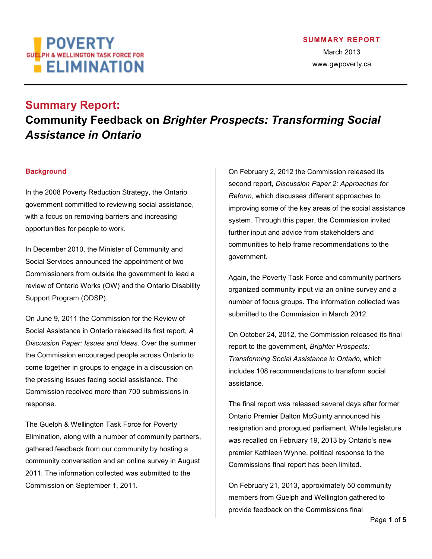# **POVERTY** GU<mark>EL</mark>PH & WELLINGTON TASK FORCE FOR  $E$  ELIMINATION

## **Summary Report: Community Feedback on** *Brighter Prospects: Transforming Social Assistance in Ontario*

## **Background**

In the 2008 Poverty Reduction Strategy, the Ontario government committed to reviewing social assistance, with a focus on removing barriers and increasing opportunities for people to work.

In December 2010, the Minister of Community and Social Services announced the appointment of two Commissioners from outside the government to lead a review of Ontario Works (OW) and the Ontario Disability Support Program (ODSP).

On June 9, 2011 the Commission for the Review of Social Assistance in Ontario released its first report, *A Discussion Paper: Issues and Ideas*. Over the summer the Commission encouraged people across Ontario to come together in groups to engage in a discussion on the pressing issues facing social assistance. The Commission received more than 700 submissions in response.

The Guelph & Wellington Task Force for Poverty Elimination, along with a number of community partners, gathered feedback from our community by hosting a community conversation and an online survey in August 2011. The information collected was submitted to the Commission on September 1, 2011.

On February 2, 2012 the Commission released its second report, *Discussion Paper 2: Approaches for Reform,* which discusses different approaches to improving some of the key areas of the social assistance system. Through this paper, the Commission invited further input and advice from stakeholders and communities to help frame recommendations to the government.

Again, the Poverty Task Force and community partners organized community input via an online survey and a number of focus groups. The information collected was submitted to the Commission in March 2012.

On October 24, 2012, the Commission released its final report to the government, *Brighter Prospects: Transforming Social Assistance in Ontario,* which includes 108 recommendations to transform social assistance.

The final report was released several days after former Ontario Premier Dalton McGuinty announced his resignation and prorogued parliament. While legislature was recalled on February 19, 2013 by Ontario's new premier Kathleen Wynne, political response to the Commissions final report has been limited.

On February 21, 2013, approximately 50 community members from Guelph and Wellington gathered to provide feedback on the Commissions final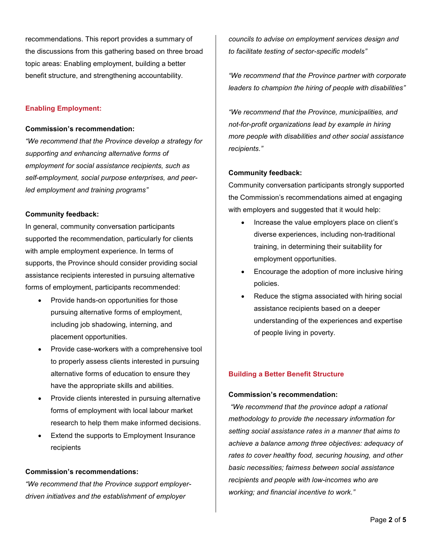recommendations. This report provides a summary of the discussions from this gathering based on three broad topic areas: Enabling employment, building a better benefit structure, and strengthening accountability.

## **Enabling Employment:**

#### **Commission's recommendation:**

*"We recommend that the Province develop a strategy for supporting and enhancing alternative forms of employment for social assistance recipients, such as self-employment, social purpose enterprises, and peerled employment and training programs"* 

## **Community feedback:**

In general, community conversation participants supported the recommendation, particularly for clients with ample employment experience. In terms of supports, the Province should consider providing social assistance recipients interested in pursuing alternative forms of employment, participants recommended:

- Provide hands-on opportunities for those pursuing alternative forms of employment, including job shadowing, interning, and placement opportunities.
- Provide case-workers with a comprehensive tool to properly assess clients interested in pursuing alternative forms of education to ensure they have the appropriate skills and abilities.
- Provide clients interested in pursuing alternative forms of employment with local labour market research to help them make informed decisions.
- Extend the supports to Employment Insurance recipients

## **Commission's recommendations:**

*"We recommend that the Province support employerdriven initiatives and the establishment of employer* 

*councils to advise on employment services design and to facilitate testing of sector-specific models"* 

*"We recommend that the Province partner with corporate leaders to champion the hiring of people with disabilities"* 

*"We recommend that the Province, municipalities, and not-for-profit organizations lead by example in hiring more people with disabilities and other social assistance recipients."* 

## **Community feedback:**

Community conversation participants strongly supported the Commission's recommendations aimed at engaging with employers and suggested that it would help:

- Increase the value employers place on client's diverse experiences, including non-traditional training, in determining their suitability for employment opportunities.
- Encourage the adoption of more inclusive hiring policies.
- Reduce the stigma associated with hiring social assistance recipients based on a deeper understanding of the experiences and expertise of people living in poverty.

## **Building a Better Benefit Structure**

## **Commission's recommendation:**

*"We recommend that the province adopt a rational methodology to provide the necessary information for setting social assistance rates in a manner that aims to achieve a balance among three objectives: adequacy of rates to cover healthy food, securing housing, and other basic necessities; fairness between social assistance recipients and people with low-incomes who are working; and financial incentive to work."*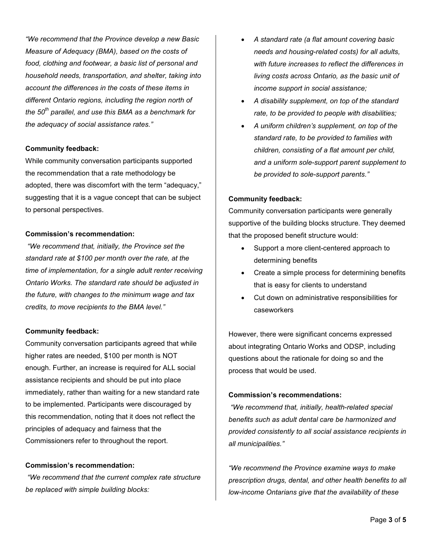*"We recommend that the Province develop a new Basic Measure of Adequacy (BMA), based on the costs of food, clothing and footwear, a basic list of personal and household needs, transportation, and shelter, taking into account the differences in the costs of these items in different Ontario regions, including the region north of the 50th parallel, and use this BMA as a benchmark for the adequacy of social assistance rates."* 

#### **Community feedback:**

While community conversation participants supported the recommendation that a rate methodology be adopted, there was discomfort with the term "adequacy," suggesting that it is a vague concept that can be subject to personal perspectives.

#### **Commission's recommendation:**

*"We recommend that, initially, the Province set the standard rate at \$100 per month over the rate, at the time of implementation, for a single adult renter receiving Ontario Works. The standard rate should be adjusted in the future, with changes to the minimum wage and tax credits, to move recipients to the BMA level."* 

#### **Community feedback:**

Community conversation participants agreed that while higher rates are needed, \$100 per month is NOT enough. Further, an increase is required for ALL social assistance recipients and should be put into place immediately, rather than waiting for a new standard rate to be implemented. Participants were discouraged by this recommendation, noting that it does not reflect the principles of adequacy and fairness that the Commissioners refer to throughout the report.

## **Commission's recommendation:**

*"We recommend that the current complex rate structure be replaced with simple building blocks:* 

- *A standard rate (a flat amount covering basic needs and housing-related costs) for all adults, with future increases to reflect the differences in living costs across Ontario, as the basic unit of income support in social assistance;*
- *A disability supplement, on top of the standard rate, to be provided to people with disabilities;*
- *A uniform children's supplement, on top of the standard rate, to be provided to families with children, consisting of a flat amount per child, and a uniform sole-support parent supplement to be provided to sole-support parents."*

#### **Community feedback:**

Community conversation participants were generally supportive of the building blocks structure. They deemed that the proposed benefit structure would:

- Support a more client-centered approach to determining benefits
- Create a simple process for determining benefits that is easy for clients to understand
- Cut down on administrative responsibilities for caseworkers

However, there were significant concerns expressed about integrating Ontario Works and ODSP, including questions about the rationale for doing so and the process that would be used.

## **Commission's recommendations:**

*"We recommend that, initially, health-related special benefits such as adult dental care be harmonized and provided consistently to all social assistance recipients in all municipalities."* 

*"We recommend the Province examine ways to make prescription drugs, dental, and other health benefits to all low-income Ontarians give that the availability of these*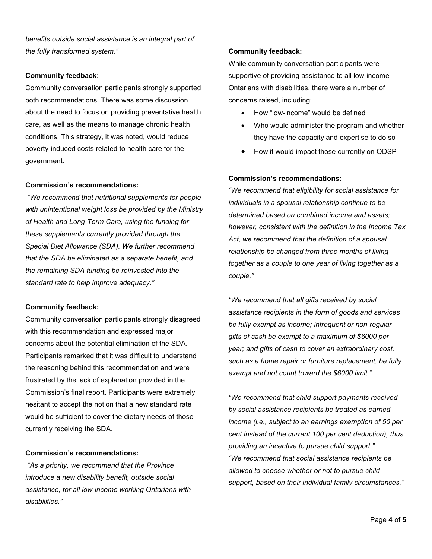*benefits outside social assistance is an integral part of the fully transformed system."* 

## **Community feedback:**

Community conversation participants strongly supported both recommendations. There was some discussion about the need to focus on providing preventative health care, as well as the means to manage chronic health conditions. This strategy, it was noted, would reduce poverty-induced costs related to health care for the government.

## **Commission's recommendations:**

*"We recommend that nutritional supplements for people with unintentional weight loss be provided by the Ministry of Health and Long-Term Care, using the funding for these supplements currently provided through the Special Diet Allowance (SDA). We further recommend that the SDA be eliminated as a separate benefit, and the remaining SDA funding be reinvested into the standard rate to help improve adequacy."* 

## **Community feedback:**

Community conversation participants strongly disagreed with this recommendation and expressed major concerns about the potential elimination of the SDA. Participants remarked that it was difficult to understand the reasoning behind this recommendation and were frustrated by the lack of explanation provided in the Commission's final report. Participants were extremely hesitant to accept the notion that a new standard rate would be sufficient to cover the dietary needs of those currently receiving the SDA.

## **Commission's recommendations:**

*"As a priority, we recommend that the Province introduce a new disability benefit, outside social assistance, for all low-income working Ontarians with disabilities."* 

## **Community feedback:**

While community conversation participants were supportive of providing assistance to all low-income Ontarians with disabilities, there were a number of concerns raised, including:

- How "low-income" would be defined
- Who would administer the program and whether they have the capacity and expertise to do so
- How it would impact those currently on ODSP

## **Commission's recommendations:**

*"We recommend that eligibility for social assistance for individuals in a spousal relationship continue to be determined based on combined income and assets; however, consistent with the definition in the Income Tax Act, we recommend that the definition of a spousal relationship be changed from three months of living together as a couple to one year of living together as a couple."* 

*"We recommend that all gifts received by social assistance recipients in the form of goods and services be fully exempt as income; infrequent or non-regular gifts of cash be exempt to a maximum of \$6000 per year; and gifts of cash to cover an extraordinary cost, such as a home repair or furniture replacement, be fully exempt and not count toward the \$6000 limit."* 

*"We recommend that child support payments received by social assistance recipients be treated as earned income (i.e., subject to an earnings exemption of 50 per cent instead of the current 100 per cent deduction), thus providing an incentive to pursue child support." "We recommend that social assistance recipients be allowed to choose whether or not to pursue child support, based on their individual family circumstances."*